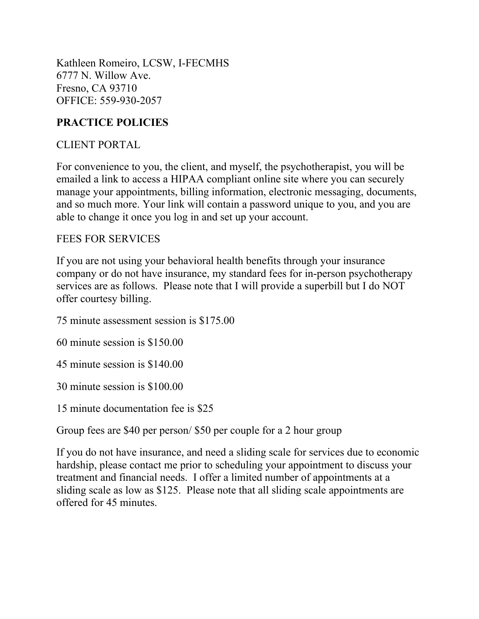Kathleen Romeiro, LCSW, I-FECMHS 6777 N. Willow Ave. Fresno, CA 93710 OFFICE: 559-930-2057

## **PRACTICE POLICIES**

#### CLIENT PORTAL

For convenience to you, the client, and myself, the psychotherapist, you will be emailed a link to access a HIPAA compliant online site where you can securely manage your appointments, billing information, electronic messaging, documents, and so much more. Your link will contain a password unique to you, and you are able to change it once you log in and set up your account.

### FEES FOR SERVICES

If you are not using your behavioral health benefits through your insurance company or do not have insurance, my standard fees for in-person psychotherapy services are as follows. Please note that I will provide a superbill but I do NOT offer courtesy billing.

75 minute assessment session is \$175.00

60 minute session is \$150.00

45 minute session is \$140.00

30 minute session is \$100.00

15 minute documentation fee is \$25

Group fees are \$40 per person/ \$50 per couple for a 2 hour group

If you do not have insurance, and need a sliding scale for services due to economic hardship, please contact me prior to scheduling your appointment to discuss your treatment and financial needs. I offer a limited number of appointments at a sliding scale as low as \$125. Please note that all sliding scale appointments are offered for 45 minutes.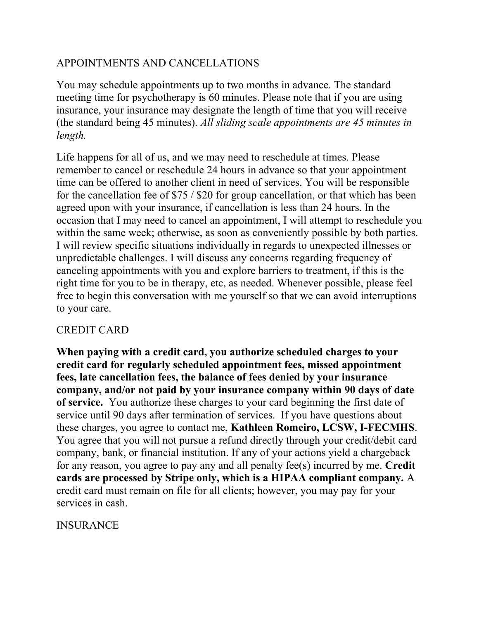## APPOINTMENTS AND CANCELLATIONS

You may schedule appointments up to two months in advance. The standard meeting time for psychotherapy is 60 minutes. Please note that if you are using insurance, your insurance may designate the length of time that you will receive (the standard being 45 minutes). *All sliding scale appointments are 45 minutes in length.*

Life happens for all of us, and we may need to reschedule at times. Please remember to cancel or reschedule 24 hours in advance so that your appointment time can be offered to another client in need of services. You will be responsible for the cancellation fee of \$75 / \$20 for group cancellation, or that which has been agreed upon with your insurance, if cancellation is less than 24 hours. In the occasion that I may need to cancel an appointment, I will attempt to reschedule you within the same week; otherwise, as soon as conveniently possible by both parties. I will review specific situations individually in regards to unexpected illnesses or unpredictable challenges. I will discuss any concerns regarding frequency of canceling appointments with you and explore barriers to treatment, if this is the right time for you to be in therapy, etc, as needed. Whenever possible, please feel free to begin this conversation with me yourself so that we can avoid interruptions to your care.

## CREDIT CARD

**When paying with a credit card, you authorize scheduled charges to your credit card for regularly scheduled appointment fees, missed appointment fees, late cancellation fees, the balance of fees denied by your insurance company, and/or not paid by your insurance company within 90 days of date of service.** You authorize these charges to your card beginning the first date of service until 90 days after termination of services. If you have questions about these charges, you agree to contact me, **Kathleen Romeiro, LCSW, I-FECMHS**. You agree that you will not pursue a refund directly through your credit/debit card company, bank, or financial institution. If any of your actions yield a chargeback for any reason, you agree to pay any and all penalty fee(s) incurred by me. **Credit cards are processed by Stripe only, which is a HIPAA compliant company.** A credit card must remain on file for all clients; however, you may pay for your services in cash.

## INSURANCE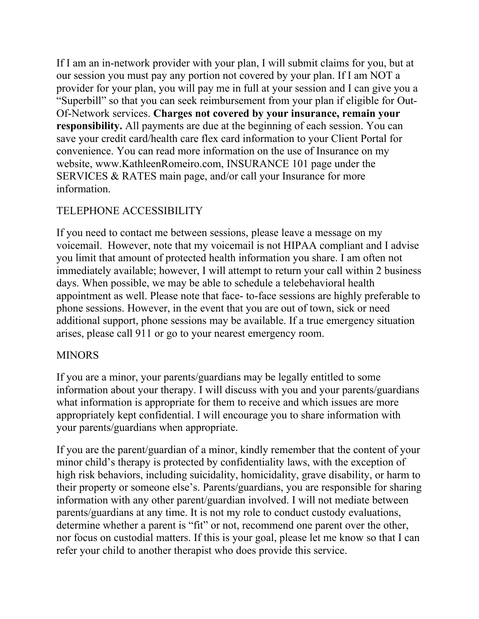If I am an in-network provider with your plan, I will submit claims for you, but at our session you must pay any portion not covered by your plan. If I am NOT a provider for your plan, you will pay me in full at your session and I can give you a "Superbill" so that you can seek reimbursement from your plan if eligible for Out-Of-Network services. **Charges not covered by your insurance, remain your responsibility.** All payments are due at the beginning of each session. You can save your credit card/health care flex card information to your Client Portal for convenience. You can read more information on the use of Insurance on my website, www.KathleenRomeiro.com, INSURANCE 101 page under the SERVICES & RATES main page, and/or call your Insurance for more information.

# TELEPHONE ACCESSIBILITY

If you need to contact me between sessions, please leave a message on my voicemail. However, note that my voicemail is not HIPAA compliant and I advise you limit that amount of protected health information you share. I am often not immediately available; however, I will attempt to return your call within 2 business days. When possible, we may be able to schedule a telebehavioral health appointment as well. Please note that face- to-face sessions are highly preferable to phone sessions. However, in the event that you are out of town, sick or need additional support, phone sessions may be available. If a true emergency situation arises, please call 911 or go to your nearest emergency room.

#### **MINORS**

If you are a minor, your parents/guardians may be legally entitled to some information about your therapy. I will discuss with you and your parents/guardians what information is appropriate for them to receive and which issues are more appropriately kept confidential. I will encourage you to share information with your parents/guardians when appropriate.

If you are the parent/guardian of a minor, kindly remember that the content of your minor child's therapy is protected by confidentiality laws, with the exception of high risk behaviors, including suicidality, homicidality, grave disability, or harm to their property or someone else's. Parents/guardians, you are responsible for sharing information with any other parent/guardian involved. I will not mediate between parents/guardians at any time. It is not my role to conduct custody evaluations, determine whether a parent is "fit" or not, recommend one parent over the other, nor focus on custodial matters. If this is your goal, please let me know so that I can refer your child to another therapist who does provide this service.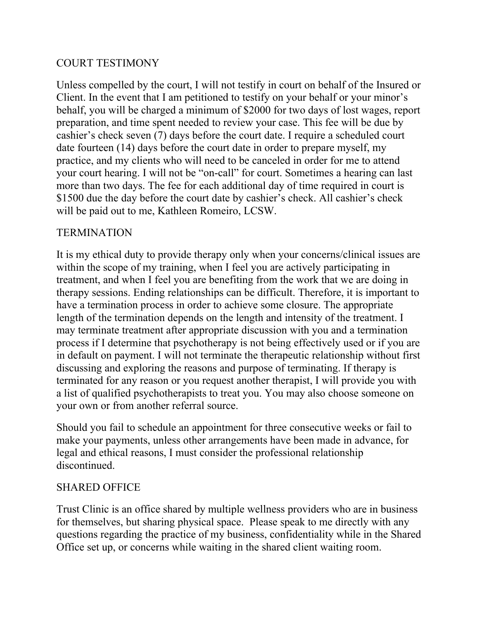### COURT TESTIMONY

Unless compelled by the court, I will not testify in court on behalf of the Insured or Client. In the event that I am petitioned to testify on your behalf or your minor's behalf, you will be charged a minimum of \$2000 for two days of lost wages, report preparation, and time spent needed to review your case. This fee will be due by cashier's check seven (7) days before the court date. I require a scheduled court date fourteen (14) days before the court date in order to prepare myself, my practice, and my clients who will need to be canceled in order for me to attend your court hearing. I will not be "on-call" for court. Sometimes a hearing can last more than two days. The fee for each additional day of time required in court is \$1500 due the day before the court date by cashier's check. All cashier's check will be paid out to me, Kathleen Romeiro, LCSW.

### **TERMINATION**

It is my ethical duty to provide therapy only when your concerns/clinical issues are within the scope of my training, when I feel you are actively participating in treatment, and when I feel you are benefiting from the work that we are doing in therapy sessions. Ending relationships can be difficult. Therefore, it is important to have a termination process in order to achieve some closure. The appropriate length of the termination depends on the length and intensity of the treatment. I may terminate treatment after appropriate discussion with you and a termination process if I determine that psychotherapy is not being effectively used or if you are in default on payment. I will not terminate the therapeutic relationship without first discussing and exploring the reasons and purpose of terminating. If therapy is terminated for any reason or you request another therapist, I will provide you with a list of qualified psychotherapists to treat you. You may also choose someone on your own or from another referral source.

Should you fail to schedule an appointment for three consecutive weeks or fail to make your payments, unless other arrangements have been made in advance, for legal and ethical reasons, I must consider the professional relationship discontinued.

#### SHARED OFFICE

Trust Clinic is an office shared by multiple wellness providers who are in business for themselves, but sharing physical space. Please speak to me directly with any questions regarding the practice of my business, confidentiality while in the Shared Office set up, or concerns while waiting in the shared client waiting room.